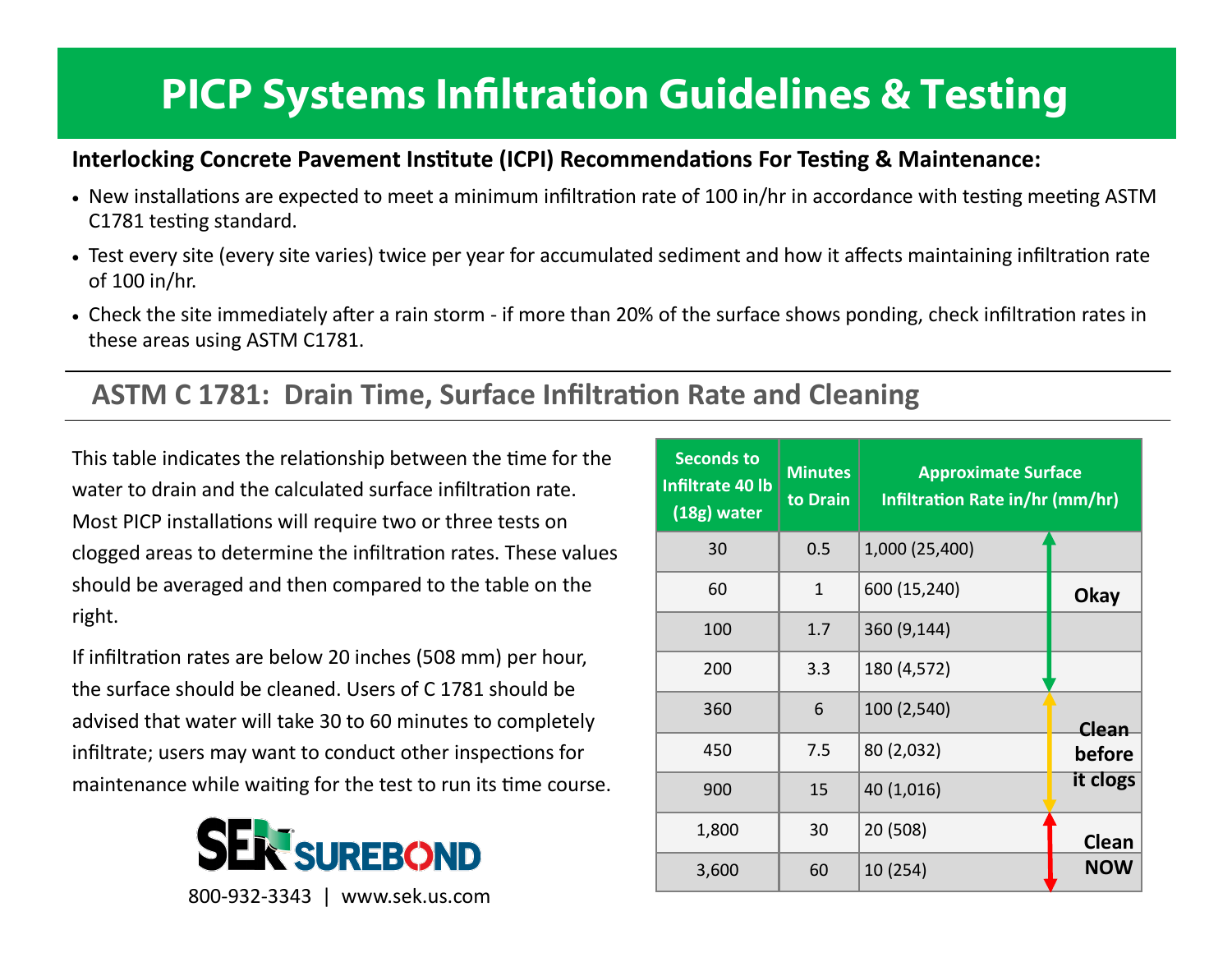# **PICP Systems Infiltration Guidelines & Testing**

#### **Interlocking Concrete Pavement Institute (ICPI) Recommendations For Testing & Maintenance:**

- New installations are expected to meet a minimum infiltration rate of 100 in/hr in accordance with testing meeting ASTM C1781 testing standard.
- Test every site (every site varies) twice per year for accumulated sediment and how it affects maintaining infiltration rate of 100 in/hr.
- Check the site immediately after a rain storm if more than 20% of the surface shows ponding, check infiltration rates in these areas using ASTM C1781.

### **ASTM C 1781: Drain Time, Surface Infiltration Rate and Cleaning**

This table indicates the relationship between the time for the water to drain and the calculated surface infiltration rate. Most PICP installations will require two or three tests on clogged areas to determine the infiltration rates. These values should be averaged and then compared to the table on the right.

If infiltration rates are below 20 inches (508 mm) per hour, the surface should be cleaned. Users of C 1781 should be advised that water will take 30 to 60 minutes to completely infiltrate; users may want to conduct other inspections for maintenance while waiting for the test to run its time course.



| <b>Seconds to</b><br>Infiltrate 40 lb<br>(18g) water | <b>Minutes</b><br>to Drain | <b>Approximate Surface</b><br>Infiltration Rate in/hr (mm/hr) |              |  |
|------------------------------------------------------|----------------------------|---------------------------------------------------------------|--------------|--|
| 30                                                   | 0.5                        | 1,000 (25,400)                                                |              |  |
| 60                                                   | 1                          | 600 (15,240)                                                  | <b>Okay</b>  |  |
| 100                                                  | 1.7                        | 360 (9,144)                                                   |              |  |
| 200                                                  | 3.3                        | 180 (4,572)                                                   |              |  |
| 360                                                  | 6                          | 100 (2,540)                                                   | Clean        |  |
| 450                                                  | 7.5                        | 80 (2,032)                                                    | before       |  |
| 900                                                  | 15                         | 40 (1,016)                                                    | it clogs     |  |
| 1,800                                                | 30                         | 20 (508)                                                      | <b>Clean</b> |  |
| 3,600                                                | 60                         | 10 (254)                                                      | <b>NOW</b>   |  |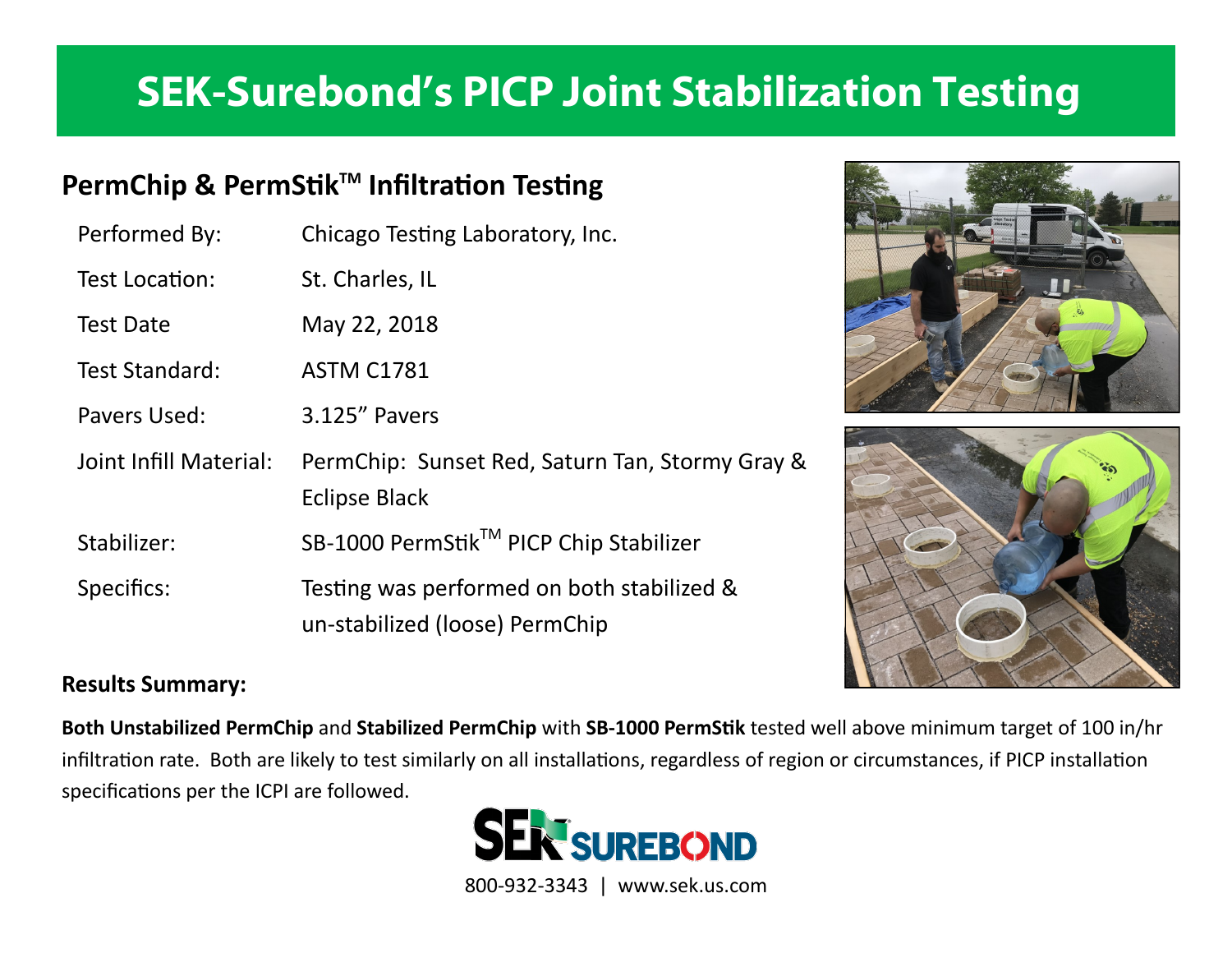## **SEK-Surebond's PICP Joint Stabilization Testing**

### **PermChip & PermStikTM Infiltration Testing**

| Performed By:          | Chicago Testing Laboratory, Inc.                                             |
|------------------------|------------------------------------------------------------------------------|
| Test Location:         | St. Charles, IL                                                              |
| <b>Test Date</b>       | May 22, 2018                                                                 |
| Test Standard:         | <b>ASTM C1781</b>                                                            |
| Pavers Used:           | 3.125" Pavers                                                                |
| Joint Infill Material: | PermChip: Sunset Red, Saturn Tan, Stormy Gray &<br><b>Eclipse Black</b>      |
| Stabilizer:            | SB-1000 PermStik™ PICP Chip Stabilizer                                       |
| Specifics:             | Testing was performed on both stabilized &<br>un-stabilized (loose) PermChip |





#### **Results Summary:**

**Both Unstabilized PermChip** and **Stabilized PermChip** with **SB-1000 PermStik** tested well above minimum target of 100 in/hr infiltration rate. Both are likely to test similarly on all installations, regardless of region or circumstances, if PICP installation specifications per the ICPI are followed.